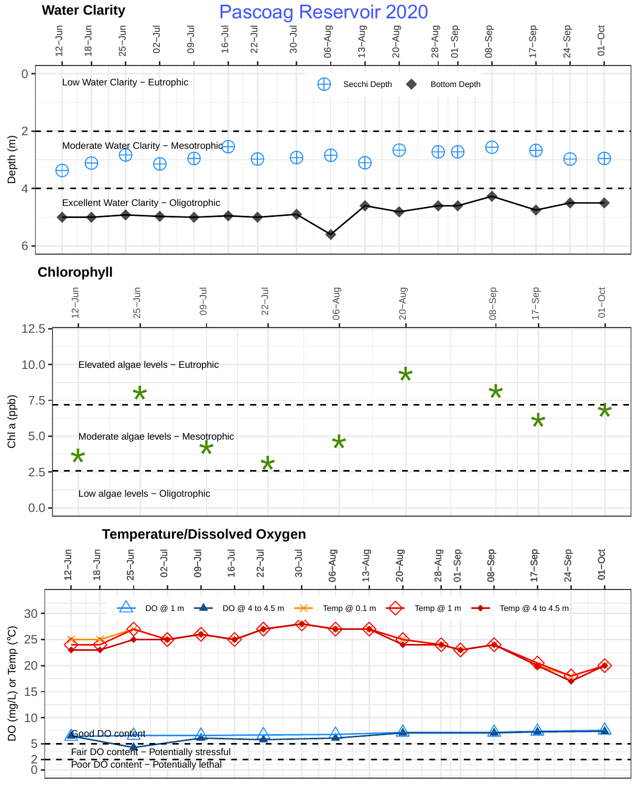